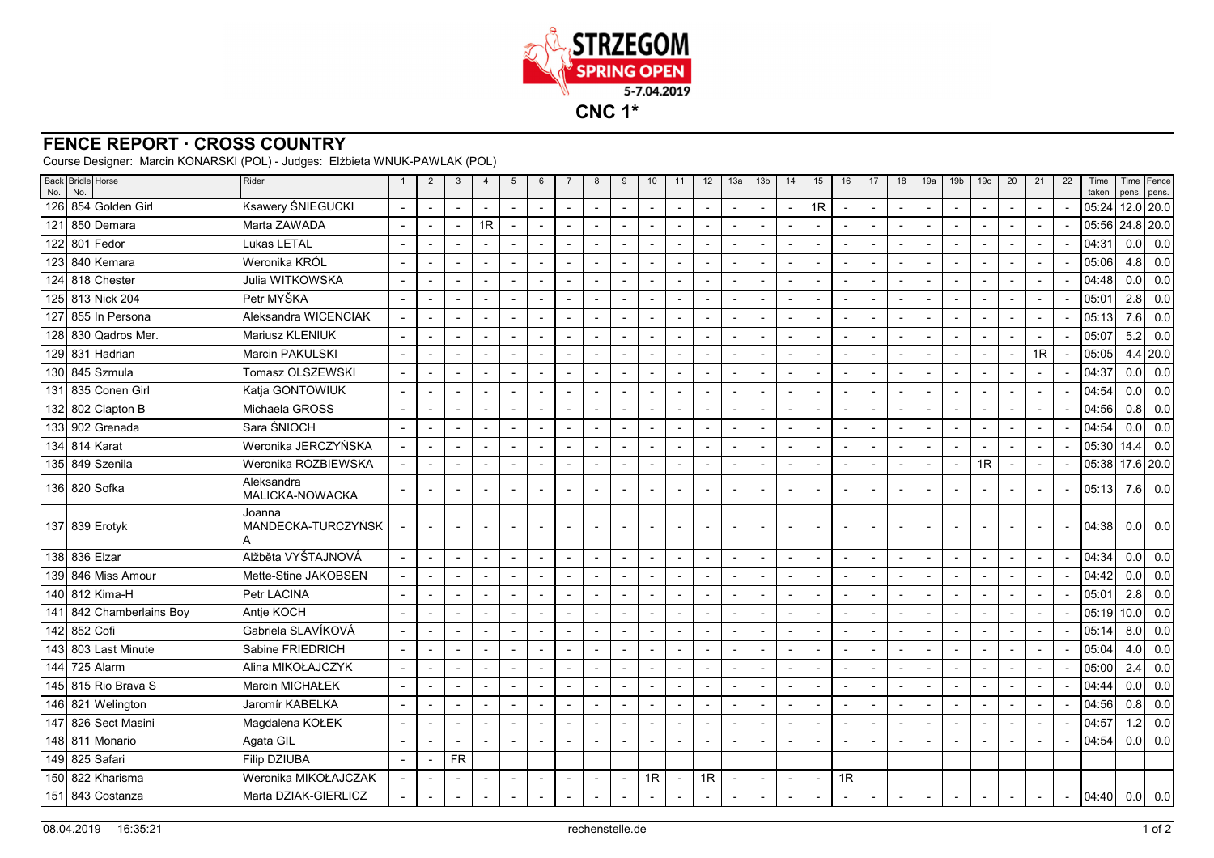

## **FENCE REPORT · CROSS COUNTRY**

Course Designer: Marcin KONARSKI (POL) - Judges: Elżbieta WNUK-PAWLAK (POL)

| No. | Back Bridle Horse<br>No. | Rider                             | $\overline{1}$           | $\overline{2}$           | 3                        | $\overline{4}$ | 5                        | $6\phantom{1}6$          | $\overline{7}$ | 8                        | 9                        | 10                       | 11                       | 12                       | 13a | 13 <sub>b</sub>          | 14 | 15                       | 16                       | 17             | 18                       | 19a                      | 19 <sub>b</sub> | 19 <sub>c</sub>          | 20                       | 21 | 22                       | Time<br>taken | pens.       | Time Fence<br>pens. |
|-----|--------------------------|-----------------------------------|--------------------------|--------------------------|--------------------------|----------------|--------------------------|--------------------------|----------------|--------------------------|--------------------------|--------------------------|--------------------------|--------------------------|-----|--------------------------|----|--------------------------|--------------------------|----------------|--------------------------|--------------------------|-----------------|--------------------------|--------------------------|----|--------------------------|---------------|-------------|---------------------|
|     | 126 854 Golden Girl      | Ksawery ŚNIEGUCKI                 |                          | $\blacksquare$           |                          |                | $\overline{a}$           | $\sim$                   |                | $\overline{a}$           | $\overline{\phantom{a}}$ |                          | $\mathbf{r}$             |                          |     |                          |    | 1R                       | $\sim$                   | $\overline{a}$ | $\blacksquare$           |                          |                 |                          | $\overline{a}$           |    |                          | 05:24         |             | $12.0$ 20.0         |
| 121 | l 850 Demara             | Marta ZAWADA                      |                          | $\overline{\phantom{0}}$ | $\overline{\phantom{0}}$ | 1R             | $\overline{\phantom{a}}$ | $\overline{a}$           |                | $\overline{\phantom{a}}$ | $\overline{a}$           |                          | $\blacksquare$           |                          |     | $\blacksquare$           |    |                          | $\blacksquare$           | $\overline{a}$ | $\blacksquare$           | $\overline{\phantom{a}}$ |                 |                          |                          |    |                          | 05:56         | $24.8$ 20.0 |                     |
|     | 122 801 Fedor            | Lukas LETAL                       |                          | $\overline{\phantom{a}}$ | $\blacksquare$           |                | $\overline{\phantom{a}}$ | $\overline{\phantom{a}}$ | $\overline{a}$ | $\overline{\phantom{a}}$ | $\overline{\phantom{a}}$ |                          | $\overline{\phantom{a}}$ |                          |     | $\overline{\phantom{a}}$ |    |                          | $\overline{\phantom{a}}$ |                | $\overline{\phantom{a}}$ | $\overline{\phantom{a}}$ |                 |                          | $\overline{\phantom{a}}$ |    | $\overline{a}$           | 04:31         | 0.0         | 0.0                 |
|     | 123 840 Kemara           | Weronika KRÓL                     |                          |                          | $\overline{a}$           |                |                          | $\blacksquare$           |                | $\overline{a}$           | $\overline{a}$           |                          | $\blacksquare$           |                          |     |                          |    |                          | $\blacksquare$           |                |                          |                          |                 |                          |                          |    |                          | 05:06         | 4.8         | 0.0                 |
|     | 124 818 Chester          | Julia WITKOWSKA                   |                          | $\overline{\phantom{a}}$ | $\overline{\phantom{a}}$ | ÷,             | $\blacksquare$           | $\overline{a}$           |                | $\overline{\phantom{a}}$ | $\overline{a}$           | $\overline{a}$           | $\blacksquare$           | $\overline{a}$           |     | $\overline{\phantom{a}}$ |    | $\overline{\phantom{a}}$ | $\blacksquare$           |                |                          | $\blacksquare$           |                 | $\overline{a}$           | $\overline{a}$           |    |                          | 04:48         | 0.0         | 0.0                 |
|     | 125 813 Nick 204         | Petr MYŠKA                        |                          | $\overline{\phantom{a}}$ |                          |                | $\blacksquare$           | $\blacksquare$           |                | $\overline{\phantom{a}}$ | $\overline{\phantom{a}}$ |                          | $\overline{\phantom{a}}$ |                          |     | $\blacksquare$           |    |                          | $\blacksquare$           |                | $\blacksquare$           | $\blacksquare$           |                 |                          | $\blacksquare$           |    |                          | 05:01         | 2.8         | 0.0                 |
| 127 | 855 In Persona           | Aleksandra WICENCIAK              |                          | $\blacksquare$           | $\overline{\phantom{0}}$ |                | $\overline{\phantom{a}}$ | $\overline{\phantom{a}}$ |                | $\sim$                   | $\overline{\phantom{a}}$ |                          | $\overline{\phantom{a}}$ | $\blacksquare$           |     | $\overline{\phantom{a}}$ |    |                          | $\overline{a}$           | $\overline{a}$ | $\overline{\phantom{a}}$ | $\overline{\phantom{a}}$ |                 |                          | $\overline{\phantom{a}}$ |    |                          | 05:13         | 7.6         | 0.0                 |
| 128 | l 830 Qadros Mer.        | <b>Mariusz KLENIUK</b>            |                          | $\blacksquare$           |                          |                |                          |                          |                | $\overline{\phantom{a}}$ |                          |                          | $\overline{\phantom{a}}$ |                          |     | ٠                        |    |                          |                          |                |                          | $\overline{\phantom{a}}$ |                 |                          |                          |    |                          | 05:07         | 5.2         | 0.0                 |
|     | 129 831 Hadrian          | <b>Marcin PAKULSKI</b>            |                          | $\blacksquare$           |                          |                | $\overline{\phantom{a}}$ | $\overline{\phantom{a}}$ |                | $\blacksquare$           |                          |                          | $\overline{\phantom{a}}$ |                          |     | $\overline{\phantom{a}}$ |    |                          | $\overline{\phantom{a}}$ |                |                          | $\overline{\phantom{a}}$ |                 |                          | $\overline{\phantom{a}}$ | 1R |                          | 05:05         |             | 4.4 20.0            |
|     | 130 845 Szmula           | Tomasz OLSZEWSKI                  |                          |                          |                          |                |                          | $\overline{a}$           |                |                          |                          |                          | $\overline{a}$           |                          |     |                          |    |                          | $\overline{a}$           |                |                          |                          |                 |                          |                          |    |                          | 04:37         | 0.0         | 0.0                 |
| 131 | 835 Conen Girl           | Katja GONTOWIUK                   |                          | $\blacksquare$           | $\overline{\phantom{a}}$ |                | $\sim$                   | $\sim$                   |                | $\blacksquare$           | $\overline{a}$           |                          | $\blacksquare$           |                          |     | $\overline{a}$           |    |                          | $\sim$                   |                |                          | $\blacksquare$           |                 | $\overline{a}$           | $\sim$                   |    |                          | 04:54         | 0.0         | 0.0                 |
|     | 132 802 Clapton B        | Michaela GROSS                    |                          | $\overline{\phantom{a}}$ |                          |                | $\sim$                   | $\sim$                   |                | $\overline{\phantom{a}}$ |                          |                          | $\overline{\phantom{a}}$ |                          |     |                          |    |                          | $\sim$                   |                | $\overline{\phantom{a}}$ | $\blacksquare$           |                 |                          | $\blacksquare$           |    |                          | 04:56         | 0.8         | 0.0                 |
|     | 133 902 Grenada          | Sara ŚNIOCH                       |                          |                          | $\overline{a}$           |                | $\overline{\phantom{a}}$ | $\sim$                   |                | $\overline{\phantom{a}}$ | $\overline{\phantom{0}}$ |                          | $\overline{\phantom{a}}$ |                          |     |                          |    |                          | $\sim$                   | $\overline{a}$ | $\blacksquare$           | $\overline{\phantom{a}}$ |                 |                          | $\overline{\phantom{a}}$ |    |                          | 04:54         | 0.0         | 0.0                 |
| 134 | 814 Karat                | Weronika JERCZYŃSKA               |                          | $\overline{\phantom{a}}$ | $\overline{a}$           |                | $\blacksquare$           | $\overline{a}$           |                | $\blacksquare$           |                          |                          | $\overline{\phantom{a}}$ |                          |     | $\overline{\phantom{a}}$ |    |                          | $\blacksquare$           |                |                          | $\blacksquare$           |                 |                          |                          |    |                          | 05:30         | 14.4        | 0.0                 |
|     | 135 849 Szenila          | Weronika ROZBIEWSKA               |                          | $\overline{\phantom{a}}$ | $\overline{\phantom{0}}$ |                | $\overline{\phantom{a}}$ | $\overline{\phantom{a}}$ |                | $\overline{\phantom{a}}$ | $\blacksquare$           |                          | $\overline{\phantom{a}}$ |                          |     | $\overline{\phantom{a}}$ |    |                          | $\blacksquare$           |                | $\blacksquare$           | $\overline{\phantom{a}}$ |                 | 1R                       |                          |    |                          | 05:38         |             | 17.6 20.0           |
|     | 136 820 Sofka            | Aleksandra<br>MALICKA-NOWACKA     |                          | $\blacksquare$           |                          |                | $\overline{\phantom{a}}$ | $\overline{\phantom{0}}$ |                | $\overline{\phantom{a}}$ |                          |                          | $\blacksquare$           |                          |     | $\overline{a}$           |    |                          |                          |                |                          | $\blacksquare$           |                 |                          |                          |    |                          | 05:13         | 7.6         | 0.0                 |
|     | 137 839 Erotyk           | Joanna<br>MANDECKA-TURCZYŃSK<br>A |                          |                          | $\overline{\phantom{a}}$ |                | $\blacksquare$           | $\overline{\phantom{a}}$ |                | $\overline{\phantom{a}}$ | $\blacksquare$           |                          | $\overline{\phantom{a}}$ | $\overline{a}$           |     |                          |    | $\blacksquare$           | $\blacksquare$           |                | $\blacksquare$           | $\blacksquare$           |                 | $\blacksquare$           | $\blacksquare$           |    | $\blacksquare$           | 04:38         | 0.0         | 0.0                 |
|     | 138 836 Elzar            | Alžběta VYŠTAJNOVÁ                | $\overline{\phantom{a}}$ | $\overline{\phantom{a}}$ | $\overline{\phantom{a}}$ |                | $\sim$                   | $\overline{\phantom{a}}$ | $\overline{a}$ | $\sim$                   | $\overline{\phantom{a}}$ | $\overline{\phantom{a}}$ | $\overline{\phantom{a}}$ | $\blacksquare$           | ÷   | $\overline{\phantom{a}}$ |    | ٠                        | $\sim$                   | $\blacksquare$ | $\blacksquare$           | $\overline{\phantom{a}}$ |                 | $\overline{\phantom{a}}$ | $\sim$                   |    | $\overline{\phantom{a}}$ | 04:34         | 0.0         | 0.0                 |
|     | 139 846 Miss Amour       | Mette-Stine JAKOBSEN              |                          |                          |                          |                |                          | $\overline{a}$           |                | $\overline{a}$           | $\overline{a}$           |                          | $\blacksquare$           |                          |     |                          |    |                          | $\blacksquare$           |                |                          |                          |                 |                          |                          |    |                          | 04:42         | 0.0         | 0.0                 |
|     | 140 812 Kima-H           | Petr LACINA                       |                          |                          | $\overline{\phantom{a}}$ |                | $\blacksquare$           | $\overline{\phantom{a}}$ |                | $\overline{\phantom{a}}$ | $\blacksquare$           | <u>.</u>                 | $\blacksquare$           | $\overline{a}$           |     |                          |    | Ĭ.                       | $\blacksquare$           | $\overline{a}$ |                          | $\blacksquare$           |                 | Ĭ.                       | $\blacksquare$           |    |                          | 05:01         | 2.8         | 0.0                 |
| 141 | 842 Chamberlains Boy     | Antje KOCH                        |                          | $\overline{\phantom{a}}$ | $\overline{\phantom{a}}$ |                | $\blacksquare$           | $\blacksquare$           |                | $\overline{\phantom{a}}$ |                          |                          | $\overline{\phantom{a}}$ |                          |     | $\blacksquare$           |    |                          | $\blacksquare$           | $\blacksquare$ | $\blacksquare$           | $\blacksquare$           |                 |                          | $\blacksquare$           |    |                          | 05:19         | 10.0        | 0.0                 |
|     | 142 852 Cofi             | Gabriela SLAVÍKOVÁ                |                          | $\blacksquare$           | $\overline{\phantom{0}}$ |                | $\overline{a}$           | $\sim$                   | $\overline{a}$ | $\sim$                   | $\overline{a}$           |                          | $\overline{a}$           | $\overline{\phantom{a}}$ |     | $\overline{a}$           |    | $\overline{a}$           | $\overline{a}$           | $\overline{a}$ | $\overline{a}$           | $\overline{\phantom{a}}$ |                 |                          | $\overline{\phantom{a}}$ |    |                          | 05:14         | 8.0         | 0.0                 |
| 143 | 803 Last Minute          | Sabine FRIEDRICH                  |                          | $\overline{\phantom{a}}$ |                          |                | $\blacksquare$           |                          |                | $\overline{\phantom{a}}$ |                          |                          | $\overline{\phantom{a}}$ |                          |     | $\overline{\phantom{a}}$ |    |                          |                          |                |                          | $\overline{\phantom{a}}$ |                 |                          |                          |    |                          | 05:04         | 4.0         | 0.0                 |
| 144 | 725 Alarm                | Alina MIKOŁAJCZYK                 |                          | $\overline{\phantom{a}}$ | $\overline{\phantom{a}}$ |                | $\overline{\phantom{a}}$ | $\overline{\phantom{a}}$ |                | $\overline{\phantom{a}}$ | $\overline{\phantom{a}}$ |                          | $\blacksquare$           |                          |     | $\overline{\phantom{a}}$ |    |                          | $\blacksquare$           |                | $\overline{\phantom{a}}$ | $\overline{\phantom{a}}$ |                 |                          |                          |    |                          | 05:00         | 2.4         | 0.0                 |
|     | 145 815 Rio Brava S      | Marcin MICHAŁEK                   |                          |                          | $\overline{a}$           |                | $\overline{\phantom{a}}$ | $\overline{a}$           |                | $\overline{a}$           | $\overline{a}$           |                          | $\blacksquare$           |                          |     | $\overline{a}$           |    |                          | $\sim$                   |                |                          |                          |                 |                          | $\overline{a}$           |    |                          | 04:44         | 0.0         | 0.0                 |
|     | 146 821 Welington        | Jaromír KABELKA                   |                          | $\overline{\phantom{a}}$ | $\overline{\phantom{a}}$ |                | $\blacksquare$           | $\overline{\phantom{a}}$ |                | $\overline{\phantom{a}}$ | $\overline{a}$           |                          | $\sim$                   | $\overline{\phantom{a}}$ |     | $\overline{\phantom{a}}$ |    |                          | $\blacksquare$           |                |                          | $\blacksquare$           |                 | $\blacksquare$           | $\blacksquare$           |    |                          | 04:56         | 0.8         | 0.0                 |
| 147 | 826 Sect Masini          | Magdalena KOŁEK                   |                          | $\overline{\phantom{a}}$ | $\overline{\phantom{a}}$ |                | $\blacksquare$           | $\blacksquare$           |                | $\overline{\phantom{a}}$ | $\overline{\phantom{a}}$ |                          | $\overline{\phantom{a}}$ |                          |     | $\overline{\phantom{a}}$ |    |                          | $\blacksquare$           |                | $\overline{\phantom{a}}$ | $\overline{\phantom{a}}$ |                 |                          | $\blacksquare$           |    |                          | 04:57         | 1.2         | 0.0                 |
|     | 148 811 Monario          | Agata GIL                         |                          |                          |                          |                | $\overline{\phantom{a}}$ | $\overline{a}$           |                | $\overline{\phantom{a}}$ |                          |                          | $\overline{\phantom{a}}$ |                          |     |                          |    |                          | $\overline{a}$           |                |                          |                          |                 |                          |                          |    |                          | 04:54         | 0.0         | 0.0                 |
| 149 | 825 Safari               | Filip DZIUBA                      |                          |                          | <b>FR</b>                |                |                          |                          |                |                          |                          |                          |                          |                          |     |                          |    |                          |                          |                |                          |                          |                 |                          |                          |    |                          |               |             |                     |
| 150 | l 822 Kharisma           | Weronika MIKOŁAJCZAK              |                          |                          |                          |                | $\overline{\phantom{a}}$ | $\overline{\phantom{a}}$ |                | $\overline{\phantom{a}}$ |                          | 1R                       | $\overline{\phantom{a}}$ | 1R                       |     | $\overline{\phantom{a}}$ |    |                          | 1R                       |                |                          |                          |                 |                          |                          |    |                          |               |             |                     |
|     | 151 843 Costanza         | Marta DZIAK-GIERLICZ              |                          |                          |                          |                | $\overline{a}$           | $\overline{a}$           |                | $\overline{a}$           |                          |                          |                          |                          |     |                          |    |                          | $\sim$                   |                |                          |                          |                 |                          |                          |    |                          | 04:40         |             | 0.0 0.0             |